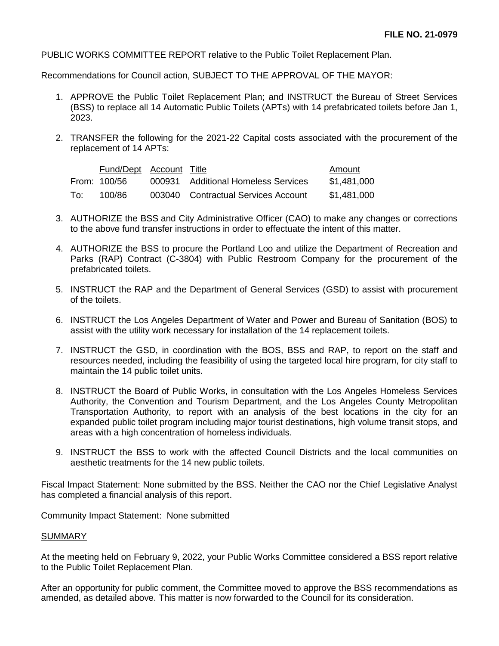PUBLIC WORKS COMMITTEE REPORT relative to the Public Toilet Replacement Plan.

Recommendations for Council action, SUBJECT TO THE APPROVAL OF THE MAYOR:

- 1. APPROVE the Public Toilet Replacement Plan; and INSTRUCT the Bureau of Street Services (BSS) to replace all 14 Automatic Public Toilets (APTs) with 14 prefabricated toilets before Jan 1, 2023.
- 2. TRANSFER the following for the 2021-22 Capital costs associated with the procurement of the replacement of 14 APTs:

|     | Fund/Dept Account Title |                                     | Amount      |
|-----|-------------------------|-------------------------------------|-------------|
|     | From: 100/56            | 000931 Additional Homeless Services | \$1,481,000 |
| To: | 100/86                  | 003040 Contractual Services Account | \$1,481,000 |

- 3. AUTHORIZE the BSS and City Administrative Officer (CAO) to make any changes or corrections to the above fund transfer instructions in order to effectuate the intent of this matter.
- 4. AUTHORIZE the BSS to procure the Portland Loo and utilize the Department of Recreation and Parks (RAP) Contract (C-3804) with Public Restroom Company for the procurement of the prefabricated toilets.
- 5. INSTRUCT the RAP and the Department of General Services (GSD) to assist with procurement of the toilets.
- 6. INSTRUCT the Los Angeles Department of Water and Power and Bureau of Sanitation (BOS) to assist with the utility work necessary for installation of the 14 replacement toilets.
- 7. INSTRUCT the GSD, in coordination with the BOS, BSS and RAP, to report on the staff and resources needed, including the feasibility of using the targeted local hire program, for city staff to maintain the 14 public toilet units.
- 8. INSTRUCT the Board of Public Works, in consultation with the Los Angeles Homeless Services Authority, the Convention and Tourism Department, and the Los Angeles County Metropolitan Transportation Authority, to report with an analysis of the best locations in the city for an expanded public toilet program including major tourist destinations, high volume transit stops, and areas with a high concentration of homeless individuals.
- 9. INSTRUCT the BSS to work with the affected Council Districts and the local communities on aesthetic treatments for the 14 new public toilets.

Fiscal Impact Statement: None submitted by the BSS. Neither the CAO nor the Chief Legislative Analyst has completed a financial analysis of this report.

Community Impact Statement: None submitted

## SUMMARY

At the meeting held on February 9, 2022, your Public Works Committee considered a BSS report relative to the Public Toilet Replacement Plan.

After an opportunity for public comment, the Committee moved to approve the BSS recommendations as amended, as detailed above. This matter is now forwarded to the Council for its consideration.